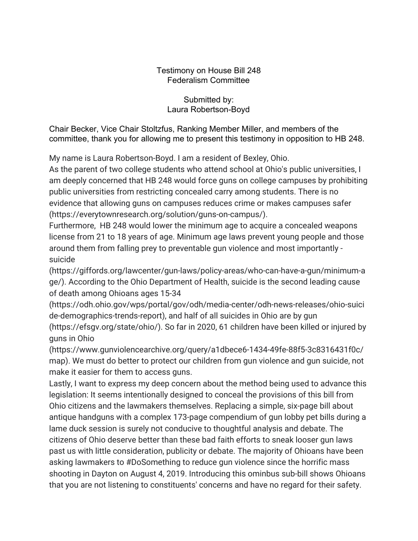## Testimony on House Bill 248 Federalism Committee

## Submitted by: Laura Robertson-Boyd

Chair Becker, Vice Chair Stoltzfus, Ranking Member Miller, and members of the committee, thank you for allowing me to present this testimony in opposition to HB 248.

My name is Laura Robertson-Boyd. I am a resident of Bexley, Ohio.

As the parent of two college students who attend school at Ohio's public universities, I am deeply concerned that HB 248 would force guns on college campuses by prohibiting public universities from restricting concealed carry among students. There is no evidence that allowing guns on campuses reduces crime or makes campuses safer (https://everytownresearch.org/solution/guns-on-campus/).

Furthermore, HB 248 would lower the minimum age to acquire a concealed weapons license from 21 to 18 years of age. Minimum age laws prevent young people and those around them from falling prey to preventable gun violence and most importantly suicide

(https://giffords.org/lawcenter/gun-laws/policy-areas/who-can-have-a-gun/minimum-a ge/). According to the Ohio Department of Health, suicide is the second leading cause of death among Ohioans ages 15‐34

(https://odh.ohio.gov/wps/portal/gov/odh/media-center/odh-news-releases/ohio-suici de-demographics-trends-report), and half of all suicides in Ohio are by gun (https://efsgv.org/state/ohio/). So far in 2020, 61 children have been killed or injured by guns in Ohio

(https://www.gunviolencearchive.org/query/a1dbece6-1434-49fe-88f5-3c8316431f0c/ map). We must do better to protect our children from gun violence and gun suicide, not make it easier for them to access guns.

Lastly, I want to express my deep concern about the method being used to advance this legislation: It seems intentionally designed to conceal the provisions of this bill from Ohio citizens and the lawmakers themselves. Replacing a simple, six-page bill about antique handguns with a complex 173-page compendium of gun lobby pet bills during a lame duck session is surely not conducive to thoughtful analysis and debate. The citizens of Ohio deserve better than these bad faith efforts to sneak looser gun laws past us with little consideration, publicity or debate. The majority of Ohioans have been asking lawmakers to #DoSomething to reduce gun violence since the horrific mass shooting in Dayton on August 4, 2019. Introducing this ominbus sub-bill shows Ohioans that you are not listening to constituents' concerns and have no regard for their safety.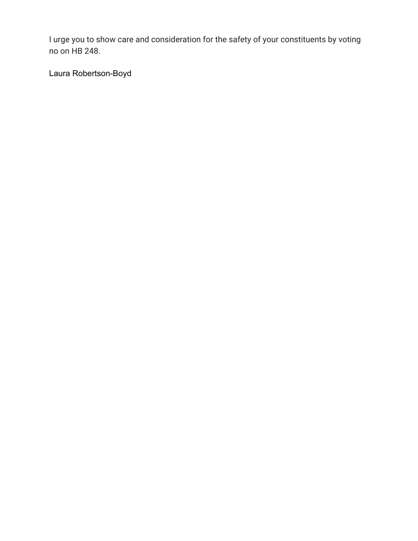I urge you to show care and consideration for the safety of your constituents by voting no on HB 248.

Laura Robertson-Boyd